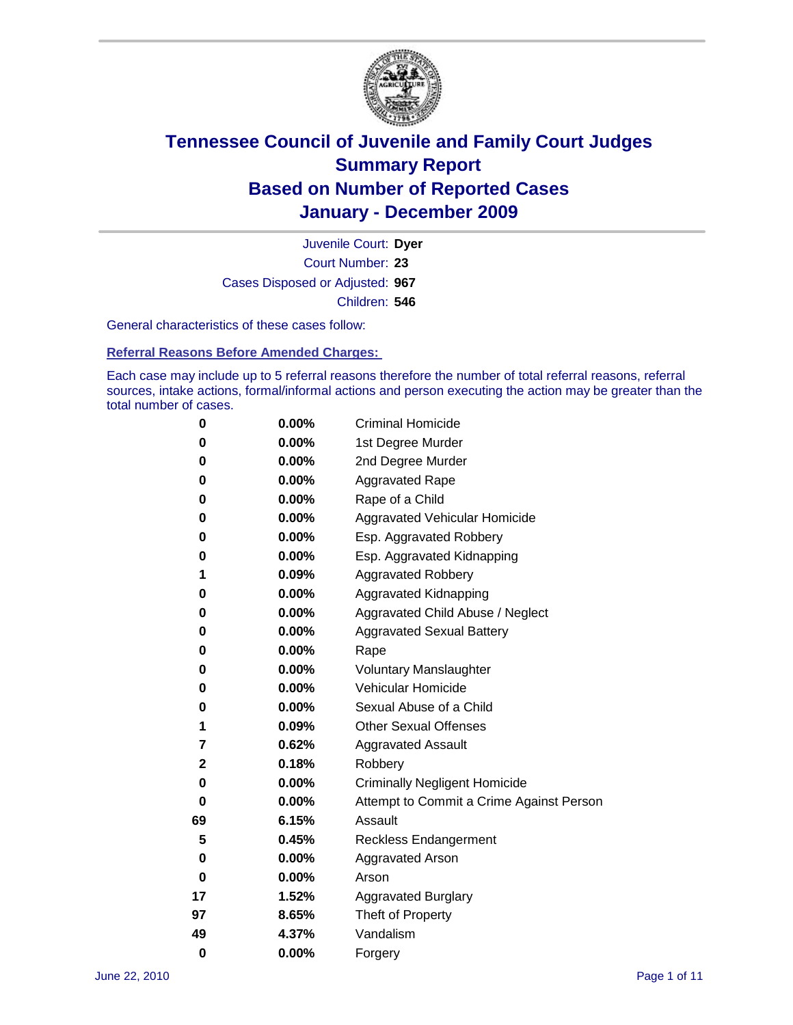

Court Number: **23** Juvenile Court: **Dyer** Cases Disposed or Adjusted: **967** Children: **546**

General characteristics of these cases follow:

**Referral Reasons Before Amended Charges:** 

Each case may include up to 5 referral reasons therefore the number of total referral reasons, referral sources, intake actions, formal/informal actions and person executing the action may be greater than the total number of cases.

| 0  | 0.00%    | <b>Criminal Homicide</b>                 |  |  |
|----|----------|------------------------------------------|--|--|
| 0  | 0.00%    | 1st Degree Murder                        |  |  |
| 0  | 0.00%    | 2nd Degree Murder                        |  |  |
| 0  | 0.00%    | <b>Aggravated Rape</b>                   |  |  |
| 0  | 0.00%    | Rape of a Child                          |  |  |
| 0  | 0.00%    | Aggravated Vehicular Homicide            |  |  |
| 0  | 0.00%    | Esp. Aggravated Robbery                  |  |  |
| 0  | 0.00%    | Esp. Aggravated Kidnapping               |  |  |
| 1  | 0.09%    | <b>Aggravated Robbery</b>                |  |  |
| 0  | 0.00%    | Aggravated Kidnapping                    |  |  |
| 0  | 0.00%    | Aggravated Child Abuse / Neglect         |  |  |
| 0  | $0.00\%$ | <b>Aggravated Sexual Battery</b>         |  |  |
| 0  | 0.00%    | Rape                                     |  |  |
| 0  | $0.00\%$ | <b>Voluntary Manslaughter</b>            |  |  |
| 0  | 0.00%    | Vehicular Homicide                       |  |  |
| 0  | 0.00%    | Sexual Abuse of a Child                  |  |  |
| 1  | 0.09%    | <b>Other Sexual Offenses</b>             |  |  |
| 7  | 0.62%    | <b>Aggravated Assault</b>                |  |  |
| 2  | 0.18%    | Robbery                                  |  |  |
| 0  | 0.00%    | <b>Criminally Negligent Homicide</b>     |  |  |
| 0  | 0.00%    | Attempt to Commit a Crime Against Person |  |  |
| 69 | 6.15%    | Assault                                  |  |  |
| 5  | 0.45%    | <b>Reckless Endangerment</b>             |  |  |
| 0  | 0.00%    | <b>Aggravated Arson</b>                  |  |  |
| 0  | 0.00%    | Arson                                    |  |  |
| 17 | 1.52%    | <b>Aggravated Burglary</b>               |  |  |
| 97 | 8.65%    | Theft of Property                        |  |  |
| 49 | 4.37%    | Vandalism                                |  |  |
| 0  | 0.00%    | Forgery                                  |  |  |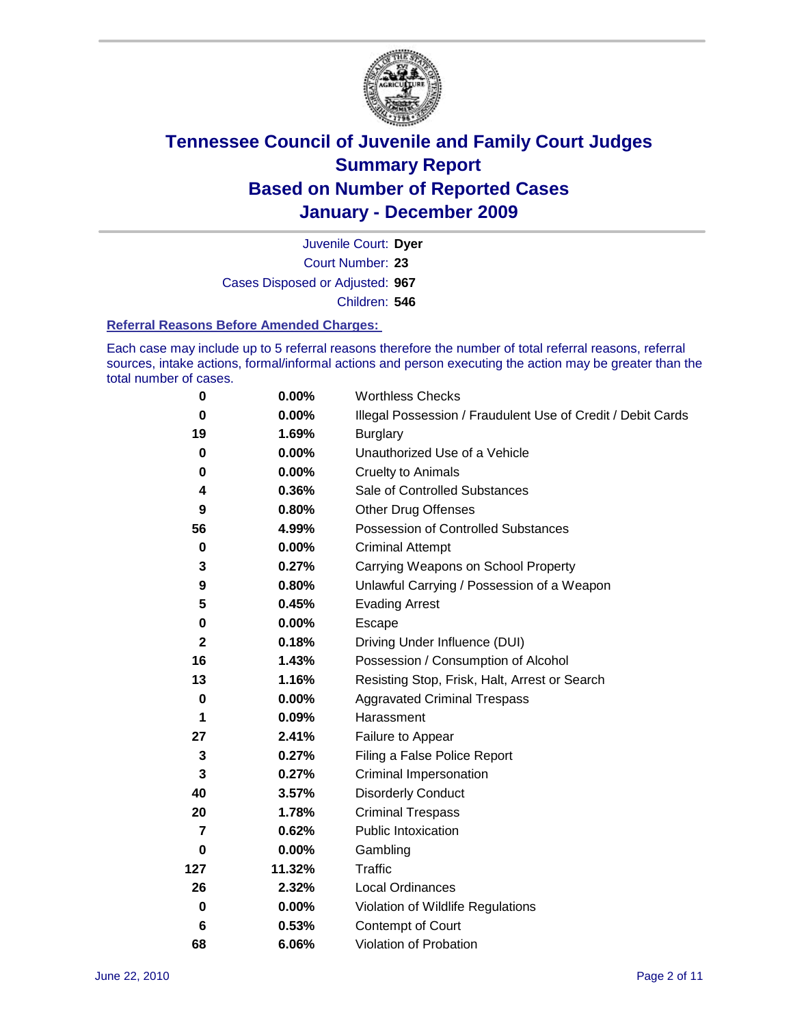

Court Number: **23** Juvenile Court: **Dyer** Cases Disposed or Adjusted: **967** Children: **546**

### **Referral Reasons Before Amended Charges:**

Each case may include up to 5 referral reasons therefore the number of total referral reasons, referral sources, intake actions, formal/informal actions and person executing the action may be greater than the total number of cases.

| $\pmb{0}$      | 0.00%    | <b>Worthless Checks</b>                                     |
|----------------|----------|-------------------------------------------------------------|
| $\bf{0}$       | 0.00%    | Illegal Possession / Fraudulent Use of Credit / Debit Cards |
| 19             | 1.69%    | <b>Burglary</b>                                             |
| $\bf{0}$       | $0.00\%$ | Unauthorized Use of a Vehicle                               |
| 0              | $0.00\%$ | <b>Cruelty to Animals</b>                                   |
| 4              | 0.36%    | Sale of Controlled Substances                               |
| 9              | 0.80%    | <b>Other Drug Offenses</b>                                  |
| 56             | 4.99%    | Possession of Controlled Substances                         |
| $\mathbf 0$    | $0.00\%$ | <b>Criminal Attempt</b>                                     |
| 3              | 0.27%    | Carrying Weapons on School Property                         |
| 9              | 0.80%    | Unlawful Carrying / Possession of a Weapon                  |
| 5              | 0.45%    | <b>Evading Arrest</b>                                       |
| 0              | 0.00%    | Escape                                                      |
| $\mathbf{2}$   | 0.18%    | Driving Under Influence (DUI)                               |
| 16             | 1.43%    | Possession / Consumption of Alcohol                         |
| 13             | 1.16%    | Resisting Stop, Frisk, Halt, Arrest or Search               |
| $\mathbf 0$    | $0.00\%$ | <b>Aggravated Criminal Trespass</b>                         |
| 1              | 0.09%    | Harassment                                                  |
| 27             | 2.41%    | Failure to Appear                                           |
| 3              | 0.27%    | Filing a False Police Report                                |
| 3              | 0.27%    | Criminal Impersonation                                      |
| 40             | 3.57%    | <b>Disorderly Conduct</b>                                   |
| 20             | 1.78%    | <b>Criminal Trespass</b>                                    |
| $\overline{7}$ | 0.62%    | Public Intoxication                                         |
| 0              | $0.00\%$ | Gambling                                                    |
| 127            | 11.32%   | <b>Traffic</b>                                              |
| 26             | 2.32%    | Local Ordinances                                            |
| $\mathbf 0$    | 0.00%    | Violation of Wildlife Regulations                           |
| 6              | 0.53%    | Contempt of Court                                           |
| 68             | 6.06%    | Violation of Probation                                      |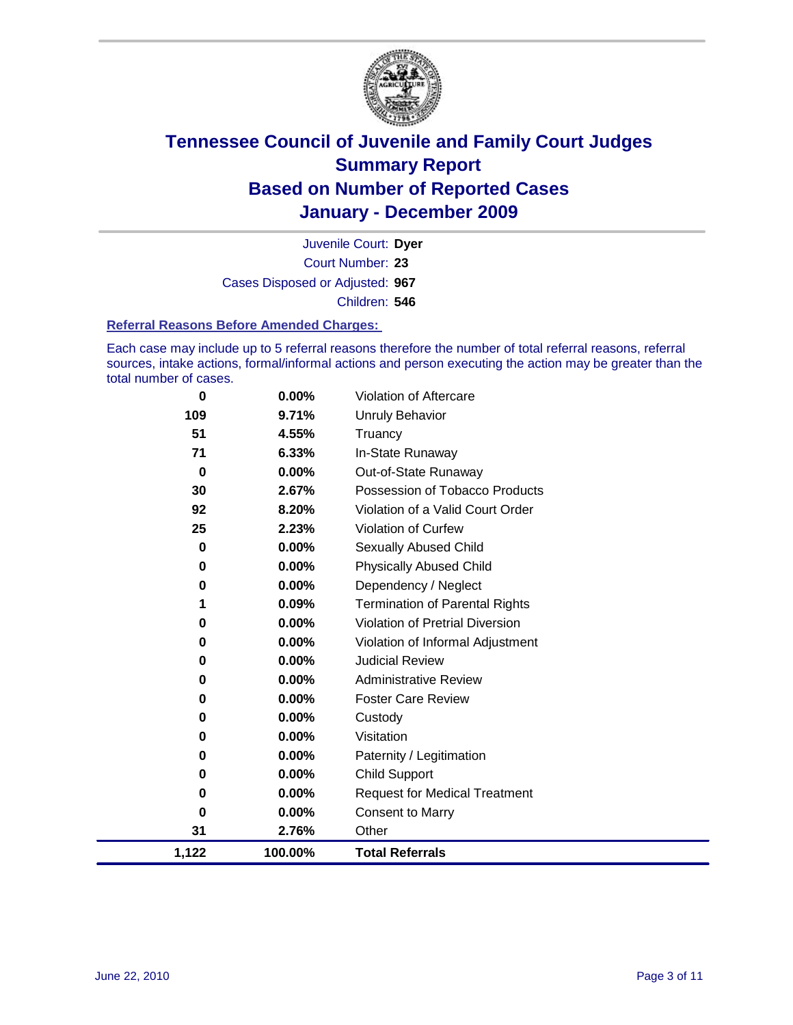

Court Number: **23** Juvenile Court: **Dyer** Cases Disposed or Adjusted: **967** Children: **546**

### **Referral Reasons Before Amended Charges:**

Each case may include up to 5 referral reasons therefore the number of total referral reasons, referral sources, intake actions, formal/informal actions and person executing the action may be greater than the total number of cases.

| 1,122    | 100.00%  | <b>Total Referrals</b>                 |
|----------|----------|----------------------------------------|
| 31       | 2.76%    | Other                                  |
| 0        | $0.00\%$ | <b>Consent to Marry</b>                |
| 0        | $0.00\%$ | <b>Request for Medical Treatment</b>   |
| 0        | 0.00%    | <b>Child Support</b>                   |
| 0        | $0.00\%$ | Paternity / Legitimation               |
| 0        | $0.00\%$ | Visitation                             |
| 0        | $0.00\%$ | Custody                                |
| 0        | $0.00\%$ | <b>Foster Care Review</b>              |
| 0        | $0.00\%$ | <b>Administrative Review</b>           |
| 0        | 0.00%    | <b>Judicial Review</b>                 |
| 0        | 0.00%    | Violation of Informal Adjustment       |
| 0        | 0.00%    | <b>Violation of Pretrial Diversion</b> |
| 1        | 0.09%    | <b>Termination of Parental Rights</b>  |
| 0        | $0.00\%$ | Dependency / Neglect                   |
| 0        | 0.00%    | <b>Physically Abused Child</b>         |
| 0        | $0.00\%$ | <b>Sexually Abused Child</b>           |
| 25       | 2.23%    | <b>Violation of Curfew</b>             |
| 92       | 8.20%    | Violation of a Valid Court Order       |
| 30       | 2.67%    | Possession of Tobacco Products         |
| $\bf{0}$ | $0.00\%$ | Out-of-State Runaway                   |
| 71       | 6.33%    | In-State Runaway                       |
| 51       | 4.55%    | Truancy                                |
| 109      | 9.71%    | <b>Unruly Behavior</b>                 |
| 0        | 0.00%    | Violation of Aftercare                 |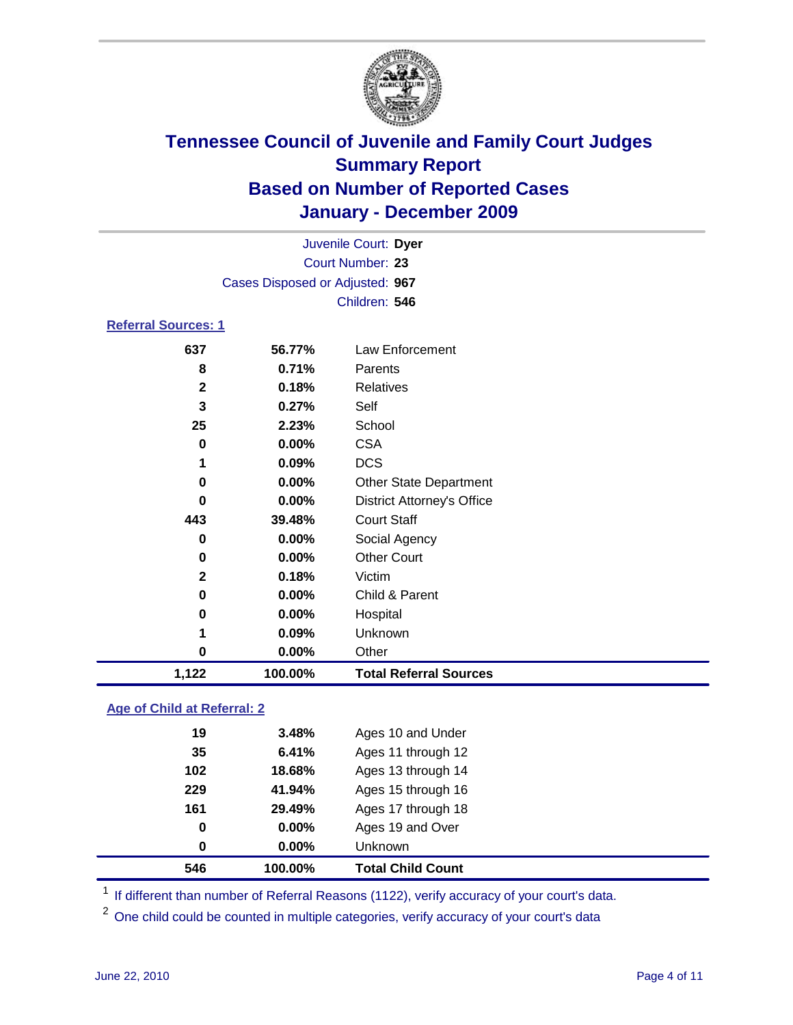

| 1,122                      | 100.00%                         | <b>Total Referral Sources</b>     |  |  |
|----------------------------|---------------------------------|-----------------------------------|--|--|
| 0                          | 0.00%                           | Other                             |  |  |
| 1                          | 0.09%                           | Unknown                           |  |  |
| 0                          | 0.00%                           | Hospital                          |  |  |
| 0                          | $0.00\%$                        | Child & Parent                    |  |  |
| $\mathbf{2}$               | 0.18%                           | Victim                            |  |  |
| 0                          | $0.00\%$                        | <b>Other Court</b>                |  |  |
| 0                          | $0.00\%$                        | Social Agency                     |  |  |
| 443                        | 39.48%                          | <b>Court Staff</b>                |  |  |
| 0                          | $0.00\%$                        | <b>District Attorney's Office</b> |  |  |
| 0                          | $0.00\%$                        | <b>Other State Department</b>     |  |  |
| 1                          | 0.09%                           | <b>DCS</b>                        |  |  |
| 0                          | $0.00\%$                        | <b>CSA</b>                        |  |  |
| 25                         | 2.23%                           | School                            |  |  |
| 3                          | 0.27%                           | Self                              |  |  |
| $\mathbf{2}$               | 0.18%                           | <b>Relatives</b>                  |  |  |
| 8                          | 0.71%                           | Parents                           |  |  |
| 637                        | 56.77%                          | Law Enforcement                   |  |  |
| <b>Referral Sources: 1</b> |                                 |                                   |  |  |
|                            |                                 | Children: 546                     |  |  |
|                            | Cases Disposed or Adjusted: 967 |                                   |  |  |
| Court Number: 23           |                                 |                                   |  |  |
|                            |                                 | Juvenile Court: Dyer              |  |  |

### **Age of Child at Referral: 2**

| 546 | 100.00%  | <b>Total Child Count</b> |  |
|-----|----------|--------------------------|--|
| 0   | 0.00%    | <b>Unknown</b>           |  |
| 0   | $0.00\%$ | Ages 19 and Over         |  |
| 161 | 29.49%   | Ages 17 through 18       |  |
| 229 | 41.94%   | Ages 15 through 16       |  |
| 102 | 18.68%   | Ages 13 through 14       |  |
| 35  | 6.41%    | Ages 11 through 12       |  |
| 19  | 3.48%    | Ages 10 and Under        |  |
|     |          |                          |  |

<sup>1</sup> If different than number of Referral Reasons (1122), verify accuracy of your court's data.

<sup>2</sup> One child could be counted in multiple categories, verify accuracy of your court's data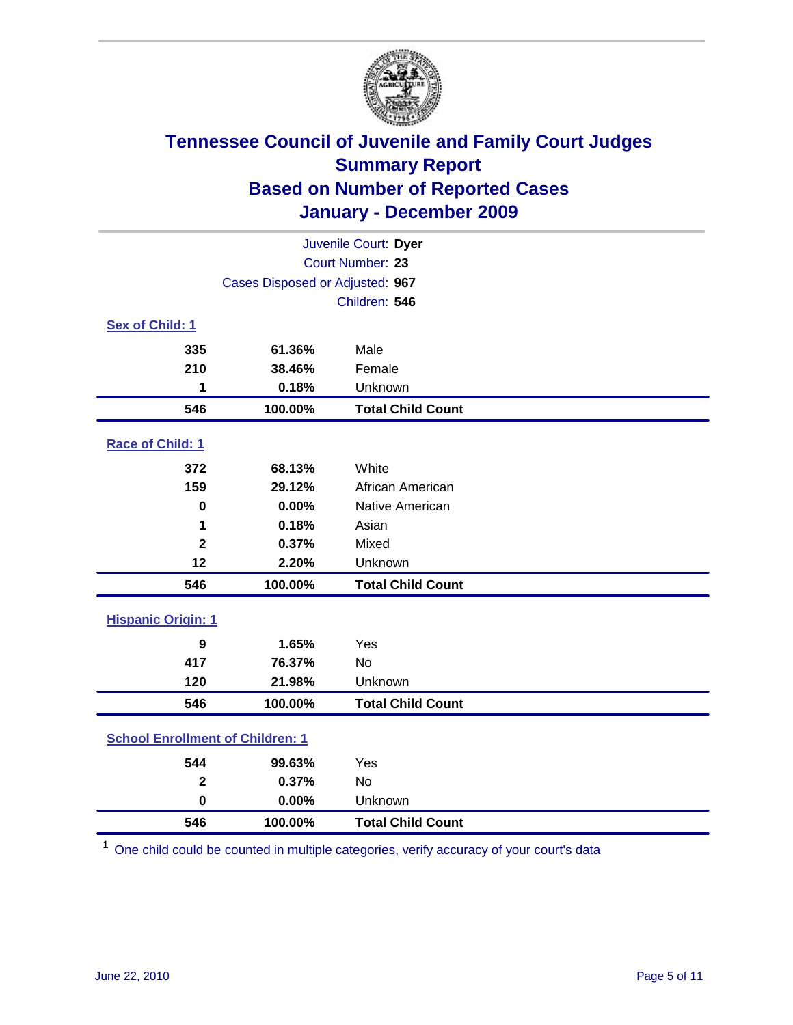

| Juvenile Court: Dyer                    |                                 |                          |  |  |
|-----------------------------------------|---------------------------------|--------------------------|--|--|
|                                         | Court Number: 23                |                          |  |  |
|                                         | Cases Disposed or Adjusted: 967 |                          |  |  |
|                                         |                                 | Children: 546            |  |  |
| Sex of Child: 1                         |                                 |                          |  |  |
| 335                                     | 61.36%                          | Male                     |  |  |
| 210                                     | 38.46%                          | Female                   |  |  |
| 1                                       | 0.18%                           | Unknown                  |  |  |
| 546                                     | 100.00%                         | <b>Total Child Count</b> |  |  |
| Race of Child: 1                        |                                 |                          |  |  |
| 372                                     | 68.13%                          | White                    |  |  |
| 159                                     | 29.12%                          | African American         |  |  |
| $\mathbf 0$                             | 0.00%                           | Native American          |  |  |
| 1                                       | 0.18%                           | Asian                    |  |  |
| $\overline{2}$                          | 0.37%                           | Mixed                    |  |  |
| 12                                      | 2.20%                           | Unknown                  |  |  |
| 546                                     | 100.00%                         | <b>Total Child Count</b> |  |  |
| <b>Hispanic Origin: 1</b>               |                                 |                          |  |  |
| 9                                       | 1.65%                           | Yes                      |  |  |
| 417                                     | 76.37%                          | <b>No</b>                |  |  |
| 120                                     | 21.98%                          | Unknown                  |  |  |
| 546                                     | 100.00%                         | <b>Total Child Count</b> |  |  |
| <b>School Enrollment of Children: 1</b> |                                 |                          |  |  |
| 544                                     | 99.63%                          | Yes                      |  |  |
| $\mathbf{2}$                            | 0.37%                           | No                       |  |  |
| $\mathbf 0$                             | 0.00%                           | Unknown                  |  |  |
| 546                                     | 100.00%                         | <b>Total Child Count</b> |  |  |

One child could be counted in multiple categories, verify accuracy of your court's data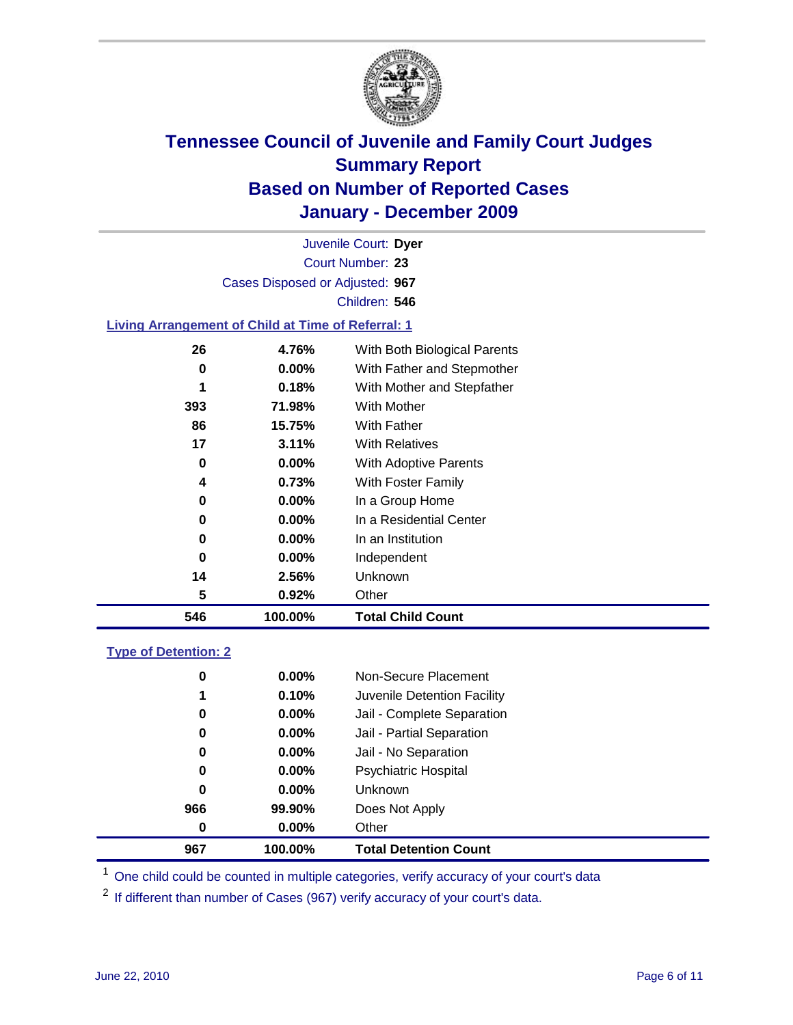

Court Number: **23** Juvenile Court: **Dyer** Cases Disposed or Adjusted: **967** Children: **546**

### **Living Arrangement of Child at Time of Referral: 1**

| 546 | 100.00%  | <b>Total Child Count</b>     |
|-----|----------|------------------------------|
| 5   | 0.92%    | Other                        |
| 14  | 2.56%    | Unknown                      |
| 0   | $0.00\%$ | Independent                  |
| 0   | $0.00\%$ | In an Institution            |
| 0   | $0.00\%$ | In a Residential Center      |
| 0   | $0.00\%$ | In a Group Home              |
| 4   | 0.73%    | With Foster Family           |
| 0   | $0.00\%$ | With Adoptive Parents        |
| 17  | 3.11%    | <b>With Relatives</b>        |
| 86  | 15.75%   | With Father                  |
| 393 | 71.98%   | With Mother                  |
| 1   | 0.18%    | With Mother and Stepfather   |
| 0   | $0.00\%$ | With Father and Stepmother   |
| 26  | 4.76%    | With Both Biological Parents |
|     |          |                              |

### **Type of Detention: 2**

| 967      | 100.00%  | <b>Total Detention Count</b> |
|----------|----------|------------------------------|
| 0        | $0.00\%$ | Other                        |
| 966      | 99.90%   | Does Not Apply               |
| 0        | $0.00\%$ | <b>Unknown</b>               |
| 0        | 0.00%    | <b>Psychiatric Hospital</b>  |
| $\bf{0}$ | 0.00%    | Jail - No Separation         |
| 0        | $0.00\%$ | Jail - Partial Separation    |
| 0        | $0.00\%$ | Jail - Complete Separation   |
| 1        | 0.10%    | Juvenile Detention Facility  |
| 0        | $0.00\%$ | Non-Secure Placement         |
|          |          |                              |

<sup>1</sup> One child could be counted in multiple categories, verify accuracy of your court's data

<sup>2</sup> If different than number of Cases (967) verify accuracy of your court's data.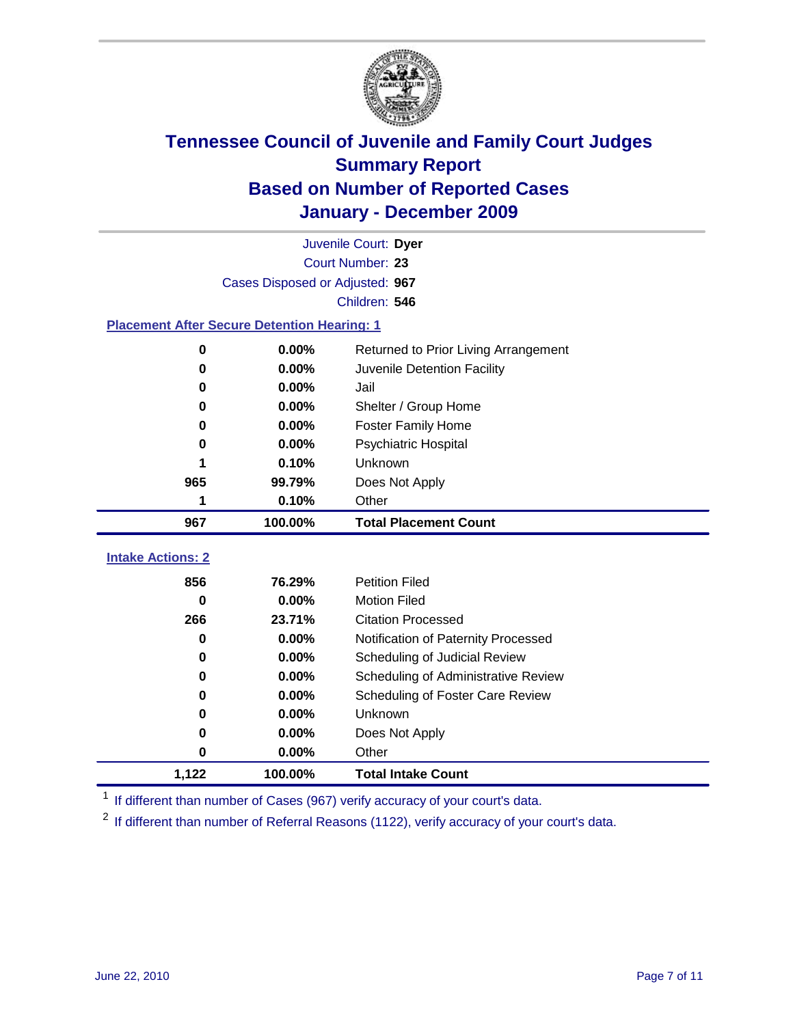

|                          | Juvenile Court: Dyer                               |                                      |  |  |  |
|--------------------------|----------------------------------------------------|--------------------------------------|--|--|--|
|                          | Court Number: 23                                   |                                      |  |  |  |
|                          | Cases Disposed or Adjusted: 967                    |                                      |  |  |  |
|                          |                                                    | Children: 546                        |  |  |  |
|                          | <b>Placement After Secure Detention Hearing: 1</b> |                                      |  |  |  |
| 0                        | 0.00%                                              | Returned to Prior Living Arrangement |  |  |  |
| 0                        | 0.00%                                              | Juvenile Detention Facility          |  |  |  |
| 0                        | 0.00%                                              | Jail                                 |  |  |  |
| 0                        | 0.00%                                              | Shelter / Group Home                 |  |  |  |
| 0                        | 0.00%                                              | <b>Foster Family Home</b>            |  |  |  |
| 0                        | 0.00%                                              | Psychiatric Hospital                 |  |  |  |
| 1                        | 0.10%                                              | Unknown                              |  |  |  |
| 965                      | 99.79%                                             | Does Not Apply                       |  |  |  |
|                          |                                                    |                                      |  |  |  |
| 1                        | 0.10%                                              | Other                                |  |  |  |
| 967                      | 100.00%                                            | <b>Total Placement Count</b>         |  |  |  |
| <b>Intake Actions: 2</b> |                                                    |                                      |  |  |  |
| 856                      | 76.29%                                             | <b>Petition Filed</b>                |  |  |  |
| 0                        | 0.00%                                              | <b>Motion Filed</b>                  |  |  |  |
| 266                      | 23.71%                                             | <b>Citation Processed</b>            |  |  |  |
| 0                        | $0.00\%$                                           | Notification of Paternity Processed  |  |  |  |
| 0                        | $0.00\%$                                           | Scheduling of Judicial Review        |  |  |  |
| 0                        | 0.00%                                              | Scheduling of Administrative Review  |  |  |  |
| 0                        | $0.00\%$                                           | Scheduling of Foster Care Review     |  |  |  |
| 0                        | 0.00%                                              | Unknown                              |  |  |  |

<sup>1</sup> If different than number of Cases (967) verify accuracy of your court's data.

**1,122 100.00% Total Intake Count**

<sup>2</sup> If different than number of Referral Reasons (1122), verify accuracy of your court's data.

**0 0.00%** Other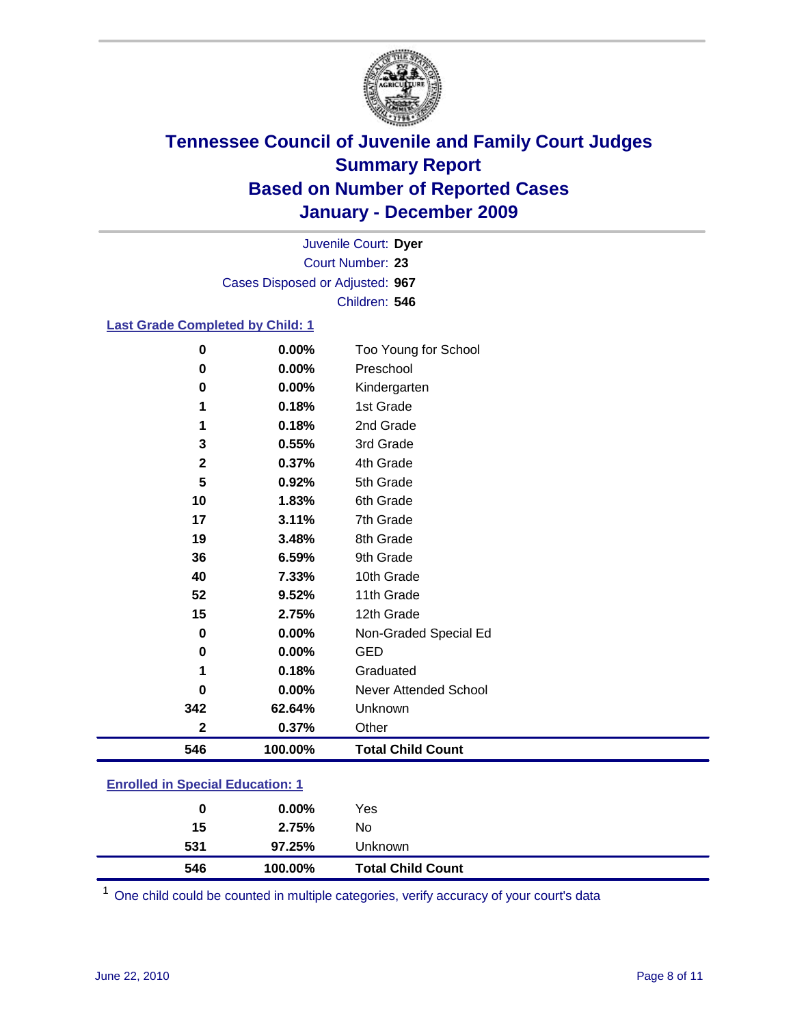

Court Number: **23** Juvenile Court: **Dyer** Cases Disposed or Adjusted: **967** Children: **546**

### **Last Grade Completed by Child: 1**

| 546          | 100.00%        | <b>Total Child Count</b>          |  |
|--------------|----------------|-----------------------------------|--|
| $\mathbf{2}$ | 0.37%          | Other                             |  |
| 342          | 62.64%         | Unknown                           |  |
| 0            | 0.00%          | Never Attended School             |  |
|              | 0.18%          | Graduated                         |  |
| 0            | 0.00%          | <b>GED</b>                        |  |
| 0            | 0.00%          | Non-Graded Special Ed             |  |
| 15           | 2.75%          | 12th Grade                        |  |
| 52           | 9.52%          | 11th Grade                        |  |
| 40           | 7.33%          | 10th Grade                        |  |
| 36           | 6.59%          | 9th Grade                         |  |
| 19           | 3.48%          | 8th Grade                         |  |
| 17           | 3.11%          | 7th Grade                         |  |
| 10           | 1.83%          | 6th Grade                         |  |
| 5            | 0.92%          | 5th Grade                         |  |
| $\mathbf{2}$ | 0.37%          | 4th Grade                         |  |
| 3            | 0.55%          | 3rd Grade                         |  |
|              | 0.18%          | 2nd Grade                         |  |
| 1            | 0.18%          | 1st Grade                         |  |
| 0            | 0.00%          | Kindergarten                      |  |
| 0<br>0       | 0.00%<br>0.00% | Too Young for School<br>Preschool |  |

| 546                                   | 100.00%  | <b>Total Child Count</b> |  |  |
|---------------------------------------|----------|--------------------------|--|--|
| 531                                   | 97.25%   | Unknown                  |  |  |
| 15                                    | 2.75%    | No                       |  |  |
| 0                                     | $0.00\%$ | Yes                      |  |  |
| <u>Embreu III opecial Eugeanon. T</u> |          |                          |  |  |

One child could be counted in multiple categories, verify accuracy of your court's data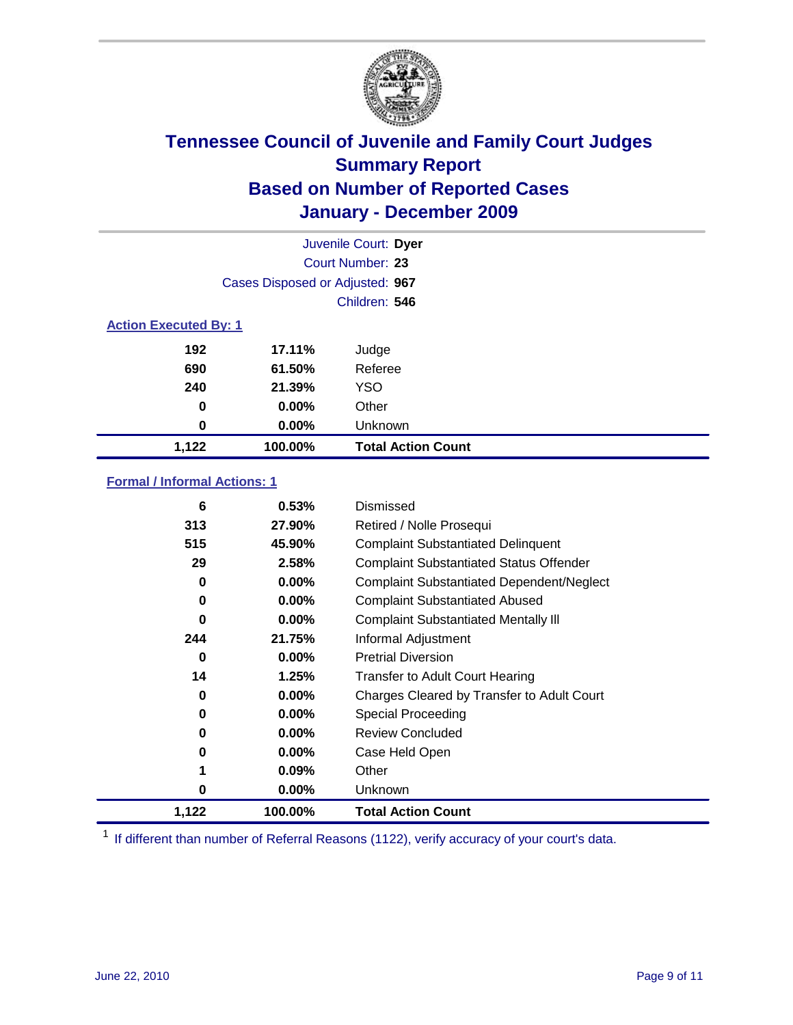

|                              | Juvenile Court: Dyer            |                           |  |  |
|------------------------------|---------------------------------|---------------------------|--|--|
|                              | Court Number: 23                |                           |  |  |
|                              | Cases Disposed or Adjusted: 967 |                           |  |  |
|                              | Children: 546                   |                           |  |  |
| <b>Action Executed By: 1</b> |                                 |                           |  |  |
| 192                          | 17.11%                          | Judge                     |  |  |
| 690                          | 61.50%                          | Referee                   |  |  |
| 240                          | 21.39%                          | <b>YSO</b>                |  |  |
| 0                            | 0.00%                           | Other                     |  |  |
| 0                            | 0.00%                           | Unknown                   |  |  |
| 1,122                        | 100.00%                         | <b>Total Action Count</b> |  |  |

### **Formal / Informal Actions: 1**

| 6        | 0.53%    | Dismissed                                        |
|----------|----------|--------------------------------------------------|
| 313      | 27.90%   | Retired / Nolle Prosequi                         |
| 515      | 45.90%   | <b>Complaint Substantiated Delinquent</b>        |
| 29       | 2.58%    | <b>Complaint Substantiated Status Offender</b>   |
| 0        | $0.00\%$ | <b>Complaint Substantiated Dependent/Neglect</b> |
| 0        | $0.00\%$ | <b>Complaint Substantiated Abused</b>            |
| $\bf{0}$ | $0.00\%$ | <b>Complaint Substantiated Mentally III</b>      |
| 244      | 21.75%   | Informal Adjustment                              |
| 0        | $0.00\%$ | <b>Pretrial Diversion</b>                        |
| 14       | 1.25%    | <b>Transfer to Adult Court Hearing</b>           |
| 0        | $0.00\%$ | Charges Cleared by Transfer to Adult Court       |
| 0        | $0.00\%$ | Special Proceeding                               |
| 0        | $0.00\%$ | <b>Review Concluded</b>                          |
| $\bf{0}$ | $0.00\%$ | Case Held Open                                   |
|          | 0.09%    | Other                                            |
| 0        | $0.00\%$ | <b>Unknown</b>                                   |
| 1,122    | 100.00%  | <b>Total Action Count</b>                        |

<sup>1</sup> If different than number of Referral Reasons (1122), verify accuracy of your court's data.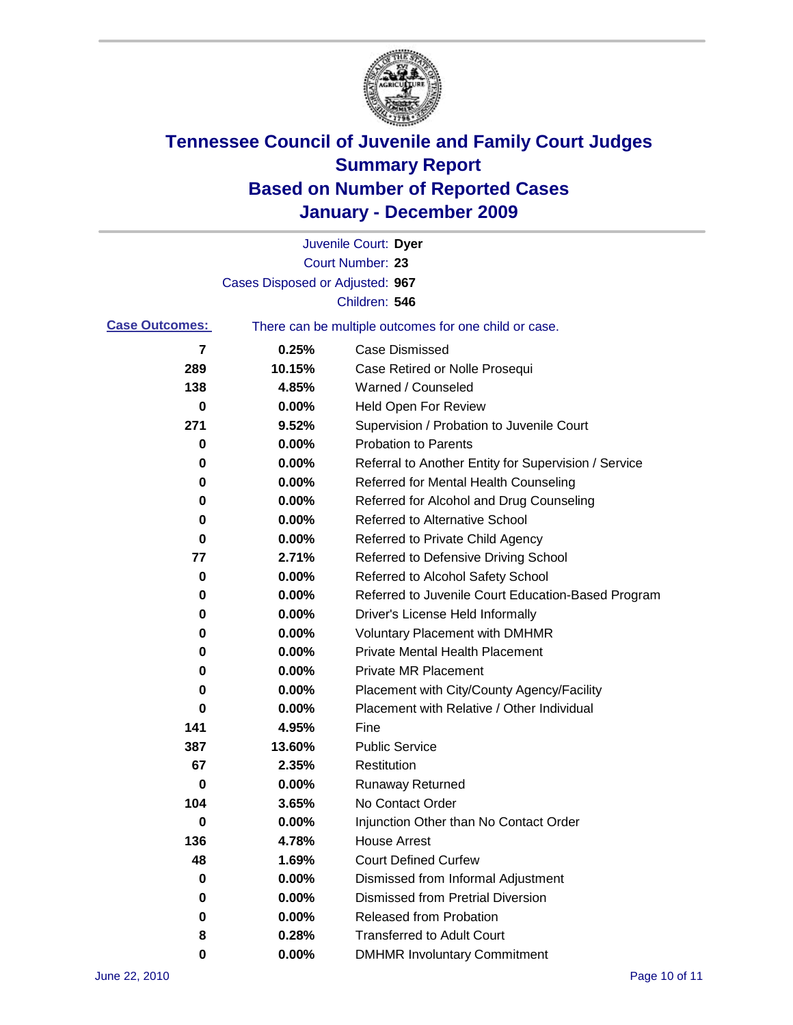

|                       |                                 | Juvenile Court: Dyer                                  |
|-----------------------|---------------------------------|-------------------------------------------------------|
|                       |                                 | Court Number: 23                                      |
|                       | Cases Disposed or Adjusted: 967 |                                                       |
|                       |                                 | Children: 546                                         |
| <b>Case Outcomes:</b> |                                 | There can be multiple outcomes for one child or case. |
| 7                     | 0.25%                           | <b>Case Dismissed</b>                                 |
| 289                   | 10.15%                          | Case Retired or Nolle Prosequi                        |
| 138                   | 4.85%                           | Warned / Counseled                                    |
| 0                     | 0.00%                           | <b>Held Open For Review</b>                           |
| 271                   | 9.52%                           | Supervision / Probation to Juvenile Court             |
| 0                     | 0.00%                           | <b>Probation to Parents</b>                           |
| 0                     | 0.00%                           | Referral to Another Entity for Supervision / Service  |
| 0                     | 0.00%                           | Referred for Mental Health Counseling                 |
| 0                     | 0.00%                           | Referred for Alcohol and Drug Counseling              |
| 0                     | 0.00%                           | <b>Referred to Alternative School</b>                 |
| 0                     | 0.00%                           | Referred to Private Child Agency                      |
| 77                    | 2.71%                           | Referred to Defensive Driving School                  |
| 0                     | 0.00%                           | Referred to Alcohol Safety School                     |
| 0                     | 0.00%                           | Referred to Juvenile Court Education-Based Program    |
| 0                     | 0.00%                           | Driver's License Held Informally                      |
| 0                     | 0.00%                           | <b>Voluntary Placement with DMHMR</b>                 |
| 0                     | 0.00%                           | <b>Private Mental Health Placement</b>                |
| 0                     | 0.00%                           | <b>Private MR Placement</b>                           |
| 0                     | 0.00%                           | Placement with City/County Agency/Facility            |
| 0                     | 0.00%                           | Placement with Relative / Other Individual            |
| 141                   | 4.95%                           | Fine                                                  |
| 387                   | 13.60%                          | <b>Public Service</b>                                 |
| 67                    | 2.35%                           | Restitution                                           |
| 0                     | 0.00%                           | Runaway Returned                                      |
| 104                   | 3.65%                           | No Contact Order                                      |
| $\bf{0}$              | $0.00\%$                        | Injunction Other than No Contact Order                |
| 136                   | 4.78%                           | <b>House Arrest</b>                                   |
| 48                    | 1.69%                           | <b>Court Defined Curfew</b>                           |
| 0                     | 0.00%                           | Dismissed from Informal Adjustment                    |
| 0                     | 0.00%                           | <b>Dismissed from Pretrial Diversion</b>              |
| 0                     | 0.00%                           | <b>Released from Probation</b>                        |
| 8                     | 0.28%                           | <b>Transferred to Adult Court</b>                     |
| 0                     | $0.00\%$                        | <b>DMHMR Involuntary Commitment</b>                   |